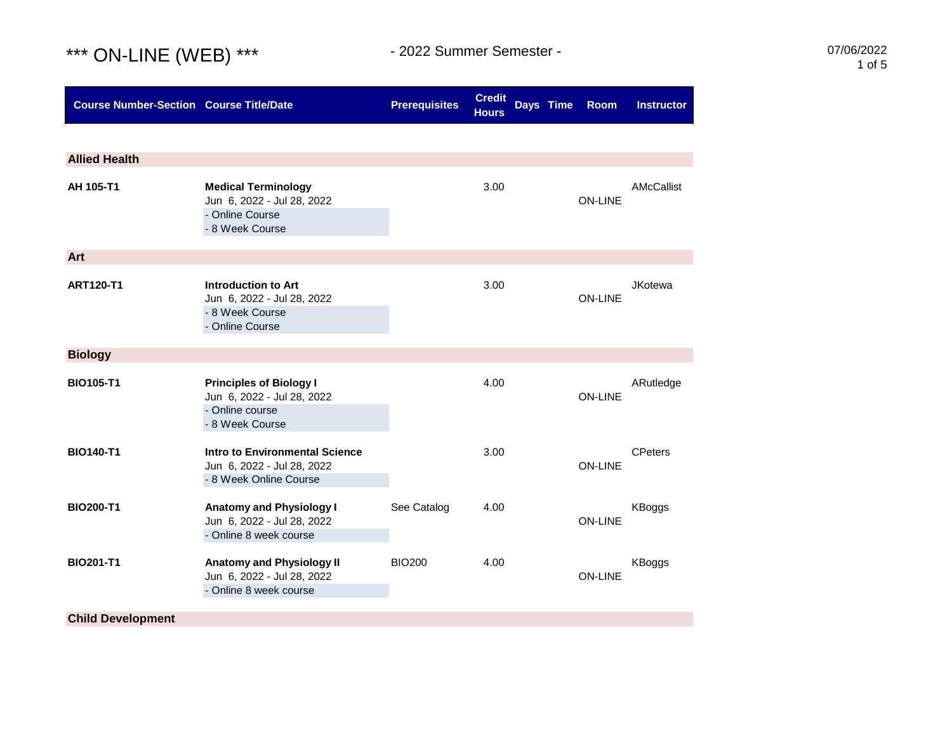## \*\*\* ON-LINE (WEB) \*\*\* 1055

| <b>Course Number-Section Course Title/Date</b> |                                                                                                    | <b>Prerequisites</b> | <b>Credit</b><br><b>Hours</b> | Days Time | <b>Room</b>    | <b>Instructor</b> |
|------------------------------------------------|----------------------------------------------------------------------------------------------------|----------------------|-------------------------------|-----------|----------------|-------------------|
|                                                |                                                                                                    |                      |                               |           |                |                   |
| <b>Allied Health</b>                           |                                                                                                    |                      |                               |           |                |                   |
| AH 105-T1                                      | <b>Medical Terminology</b><br>Jun 6, 2022 - Jul 28, 2022<br>- Online Course<br>- 8 Week Course     |                      | 3.00                          |           | <b>ON-LINE</b> | AMcCallist        |
| Art                                            |                                                                                                    |                      |                               |           |                |                   |
| <b>ART120-T1</b>                               | Introduction to Art<br>Jun 6, 2022 - Jul 28, 2022<br>- 8 Week Course<br>- Online Course            |                      | 3.00                          |           | <b>ON-LINE</b> | <b>JKotewa</b>    |
| <b>Biology</b>                                 |                                                                                                    |                      |                               |           |                |                   |
| <b>BIO105-T1</b>                               | <b>Principles of Biology I</b><br>Jun 6, 2022 - Jul 28, 2022<br>- Online course<br>- 8 Week Course |                      | 4.00                          |           | <b>ON-LINE</b> | ARutledge         |
| <b>BIO140-T1</b>                               | <b>Intro to Environmental Science</b><br>Jun 6, 2022 - Jul 28, 2022<br>- 8 Week Online Course      |                      | 3.00                          |           | <b>ON-LINE</b> | <b>CPeters</b>    |
| <b>BIO200-T1</b>                               | <b>Anatomy and Physiology I</b><br>Jun 6, 2022 - Jul 28, 2022<br>- Online 8 week course            | See Catalog          | 4.00                          |           | <b>ON-LINE</b> | KBoggs            |
| <b>BIO201-T1</b>                               | <b>Anatomy and Physiology II</b><br>Jun 6, 2022 - Jul 28, 2022<br>- Online 8 week course           | <b>BIO200</b>        | 4.00                          |           | <b>ON-LINE</b> | KBoggs            |
| <b>Child Development</b>                       |                                                                                                    |                      |                               |           |                |                   |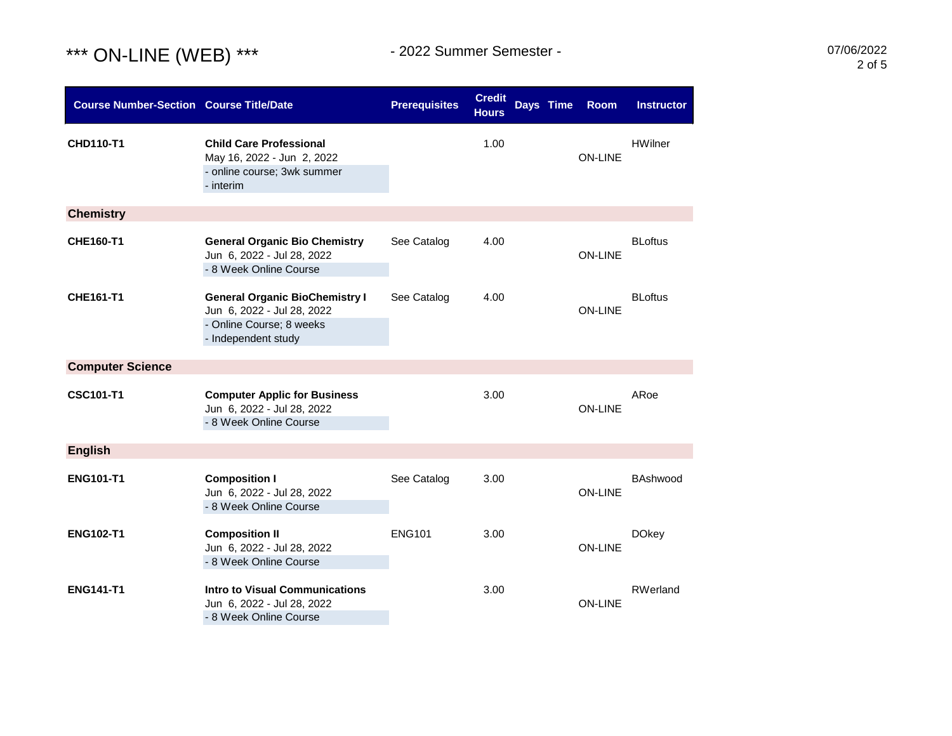## \*\*\* ON-LINE (WEB) \*\*\* 19922 Summer Semester - 1994 1995 1996/2022

| <b>Course Number-Section Course Title/Date</b> |                                                                                                                        | <b>Prerequisites</b> | <b>Credit</b><br><b>Hours</b> | Days Time | Room           | <b>Instructor</b> |
|------------------------------------------------|------------------------------------------------------------------------------------------------------------------------|----------------------|-------------------------------|-----------|----------------|-------------------|
| <b>CHD110-T1</b>                               | <b>Child Care Professional</b><br>May 16, 2022 - Jun 2, 2022<br>- online course; 3wk summer<br>- interim               |                      | 1.00                          |           | <b>ON-LINE</b> | <b>HWilner</b>    |
| <b>Chemistry</b>                               |                                                                                                                        |                      |                               |           |                |                   |
| CHE160-T1                                      | <b>General Organic Bio Chemistry</b><br>Jun 6, 2022 - Jul 28, 2022<br>- 8 Week Online Course                           | See Catalog          | 4.00                          |           | <b>ON-LINE</b> | <b>BLoftus</b>    |
| <b>CHE161-T1</b>                               | <b>General Organic BioChemistry I</b><br>Jun 6, 2022 - Jul 28, 2022<br>- Online Course; 8 weeks<br>- Independent study | See Catalog          | 4.00                          |           | <b>ON-LINE</b> | <b>BLoftus</b>    |
| <b>Computer Science</b>                        |                                                                                                                        |                      |                               |           |                |                   |
| <b>CSC101-T1</b>                               | <b>Computer Applic for Business</b><br>Jun 6, 2022 - Jul 28, 2022<br>- 8 Week Online Course                            |                      | 3.00                          |           | <b>ON-LINE</b> | ARoe              |
| <b>English</b>                                 |                                                                                                                        |                      |                               |           |                |                   |
| <b>ENG101-T1</b>                               | <b>Composition I</b><br>Jun 6, 2022 - Jul 28, 2022<br>- 8 Week Online Course                                           | See Catalog          | 3.00                          |           | <b>ON-LINE</b> | BAshwood          |
| <b>ENG102-T1</b>                               | <b>Composition II</b><br>Jun 6, 2022 - Jul 28, 2022<br>- 8 Week Online Course                                          | <b>ENG101</b>        | 3.00                          |           | <b>ON-LINE</b> | <b>DOkey</b>      |
| <b>ENG141-T1</b>                               | <b>Intro to Visual Communications</b><br>Jun 6, 2022 - Jul 28, 2022<br>- 8 Week Online Course                          |                      | 3.00                          |           | <b>ON-LINE</b> | RWerland          |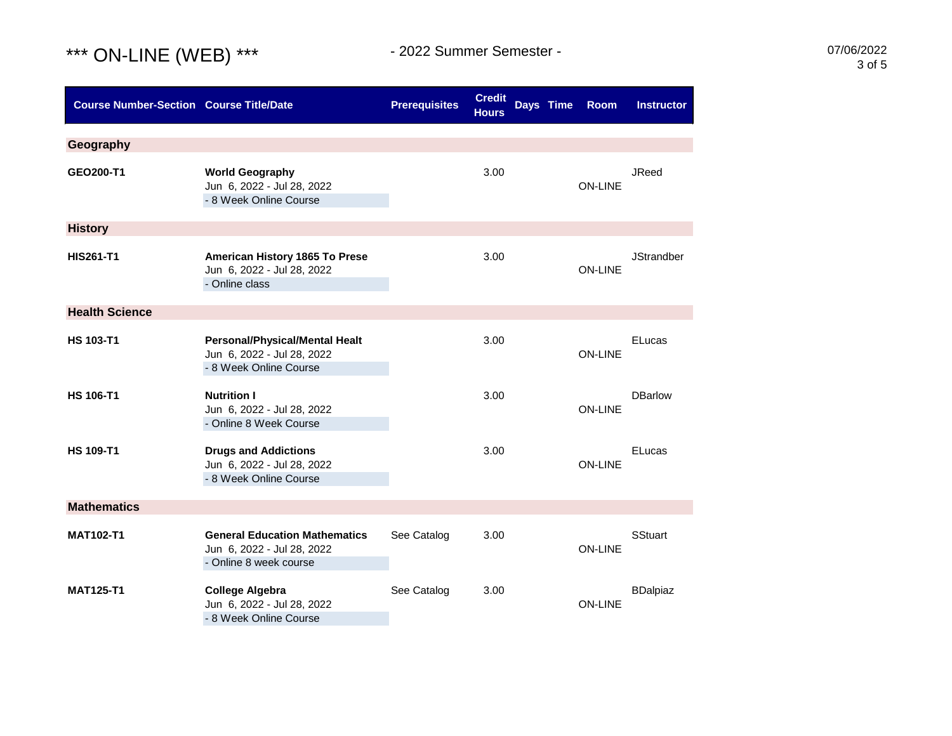## \*\*\* ON-LINE (WEB) \*\*\* 19922 Summer Semester - 1994 1995 1997/06/2022

| <b>Course Number-Section Course Title/Date</b> |                                                                                               | <b>Prerequisites</b> | <b>Credit</b><br><b>Hours</b> | Days Time | <b>Room</b>    | <b>Instructor</b> |
|------------------------------------------------|-----------------------------------------------------------------------------------------------|----------------------|-------------------------------|-----------|----------------|-------------------|
| Geography                                      |                                                                                               |                      |                               |           |                |                   |
| GEO200-T1                                      | <b>World Geography</b><br>Jun 6, 2022 - Jul 28, 2022<br>- 8 Week Online Course                |                      | 3.00                          |           | <b>ON-LINE</b> | <b>JReed</b>      |
| <b>History</b>                                 |                                                                                               |                      |                               |           |                |                   |
| <b>HIS261-T1</b>                               | American History 1865 To Prese<br>Jun 6, 2022 - Jul 28, 2022<br>- Online class                |                      | 3.00                          |           | <b>ON-LINE</b> | <b>JStrandber</b> |
| <b>Health Science</b>                          |                                                                                               |                      |                               |           |                |                   |
| <b>HS 103-T1</b>                               | <b>Personal/Physical/Mental Healt</b><br>Jun 6, 2022 - Jul 28, 2022<br>- 8 Week Online Course |                      | 3.00                          |           | <b>ON-LINE</b> | ELucas            |
| <b>HS 106-T1</b>                               | <b>Nutrition I</b><br>Jun 6, 2022 - Jul 28, 2022<br>- Online 8 Week Course                    |                      | 3.00                          |           | <b>ON-LINE</b> | <b>DBarlow</b>    |
| <b>HS 109-T1</b>                               | <b>Drugs and Addictions</b><br>Jun 6, 2022 - Jul 28, 2022<br>- 8 Week Online Course           |                      | 3.00                          |           | <b>ON-LINE</b> | ELucas            |
| <b>Mathematics</b>                             |                                                                                               |                      |                               |           |                |                   |
| <b>MAT102-T1</b>                               | <b>General Education Mathematics</b><br>Jun 6, 2022 - Jul 28, 2022<br>- Online 8 week course  | See Catalog          | 3.00                          |           | <b>ON-LINE</b> | <b>SStuart</b>    |
| <b>MAT125-T1</b>                               | <b>College Algebra</b><br>Jun 6, 2022 - Jul 28, 2022<br>- 8 Week Online Course                | See Catalog          | 3.00                          |           | <b>ON-LINE</b> | <b>BDalpiaz</b>   |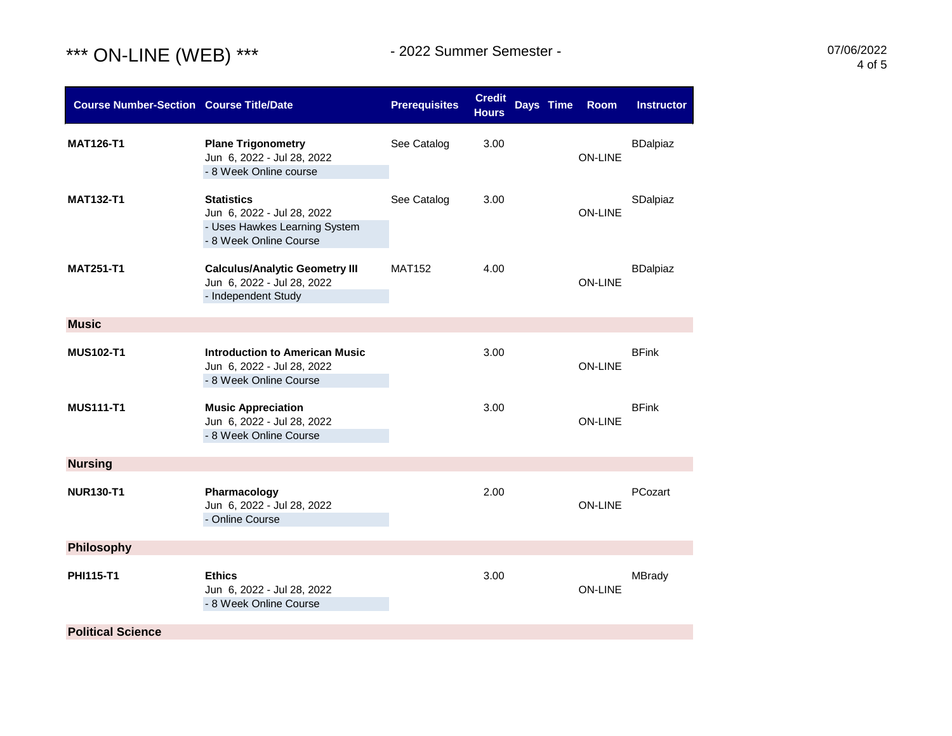

| <b>Course Number-Section Course Title/Date</b> |                                                                                                            | <b>Prerequisites</b> | <b>Credit</b><br><b>Hours</b> | Days Time<br><b>Room</b> | <b>Instructor</b> |
|------------------------------------------------|------------------------------------------------------------------------------------------------------------|----------------------|-------------------------------|--------------------------|-------------------|
| <b>MAT126-T1</b>                               | <b>Plane Trigonometry</b><br>Jun 6, 2022 - Jul 28, 2022<br>- 8 Week Online course                          | See Catalog          | 3.00                          | <b>ON-LINE</b>           | <b>BDalpiaz</b>   |
| <b>MAT132-T1</b>                               | <b>Statistics</b><br>Jun 6, 2022 - Jul 28, 2022<br>- Uses Hawkes Learning System<br>- 8 Week Online Course | See Catalog          | 3.00                          | <b>ON-LINE</b>           | SDalpiaz          |
| <b>MAT251-T1</b>                               | <b>Calculus/Analytic Geometry III</b><br>Jun 6, 2022 - Jul 28, 2022<br>- Independent Study                 | <b>MAT152</b>        | 4.00                          | <b>ON-LINE</b>           | <b>BDalpiaz</b>   |
| <b>Music</b>                                   |                                                                                                            |                      |                               |                          |                   |
| <b>MUS102-T1</b>                               | <b>Introduction to American Music</b><br>Jun 6, 2022 - Jul 28, 2022<br>- 8 Week Online Course              |                      | 3.00                          | <b>ON-LINE</b>           | <b>BFink</b>      |
| <b>MUS111-T1</b>                               | <b>Music Appreciation</b><br>Jun 6, 2022 - Jul 28, 2022<br>- 8 Week Online Course                          |                      | 3.00                          | <b>ON-LINE</b>           | <b>BFink</b>      |
| <b>Nursing</b>                                 |                                                                                                            |                      |                               |                          |                   |
| <b>NUR130-T1</b>                               | Pharmacology<br>Jun 6, 2022 - Jul 28, 2022<br>- Online Course                                              |                      | 2.00                          | <b>ON-LINE</b>           | PCozart           |
| Philosophy                                     |                                                                                                            |                      |                               |                          |                   |
| PHI115-T1                                      | <b>Ethics</b><br>Jun 6, 2022 - Jul 28, 2022<br>- 8 Week Online Course                                      |                      | 3.00                          | <b>ON-LINE</b>           | <b>MBrady</b>     |
| <b>Political Science</b>                       |                                                                                                            |                      |                               |                          |                   |